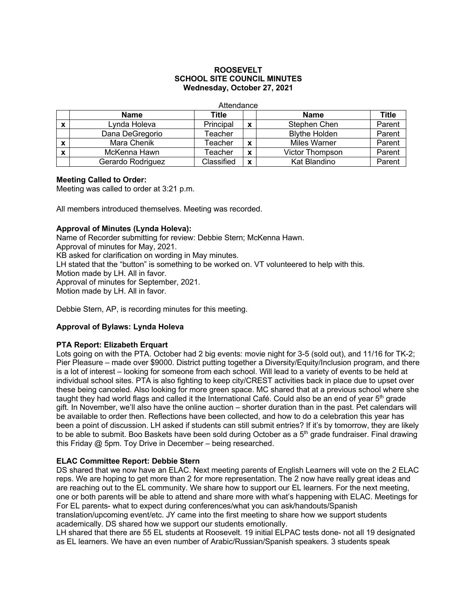## **ROOSEVELT SCHOOL SITE COUNCIL MINUTES Wednesday, October 27, 2021**

**Attendance** 

|                           | <b>Name</b>       | Title      |   | <b>Name</b>            | Title  |
|---------------------------|-------------------|------------|---|------------------------|--------|
| X                         | Lynda Holeva      | Principal  | x | Stephen Chen           | Parent |
|                           | Dana DeGregorio   | Геасһег    |   | <b>Blythe Holden</b>   | Parent |
| X                         | Mara Chenik       | ⊺eacher    | X | <b>Miles Warner</b>    | Parent |
| $\boldsymbol{\mathsf{x}}$ | McKenna Hawn      | Feacher    | X | <b>Victor Thompson</b> | Parent |
|                           | Gerardo Rodriguez | Classified | X | Kat Blandino           | Parent |

## **Meeting Called to Order:**

Meeting was called to order at 3:21 p.m.

All members introduced themselves. Meeting was recorded.

## **Approval of Minutes (Lynda Holeva):**

Name of Recorder submitting for review: Debbie Stern; McKenna Hawn. Approval of minutes for May, 2021. KB asked for clarification on wording in May minutes. LH stated that the "button" is something to be worked on. VT volunteered to help with this. Motion made by LH. All in favor. Approval of minutes for September, 2021. Motion made by LH. All in favor.

Debbie Stern, AP, is recording minutes for this meeting.

## **Approval of Bylaws: Lynda Holeva**

## **PTA Report: Elizabeth Erquart**

Lots going on with the PTA. October had 2 big events: movie night for 3-5 (sold out), and 11/16 for TK-2; Pier Pleasure – made over \$9000. District putting together a Diversity/Equity/Inclusion program, and there is a lot of interest – looking for someone from each school. Will lead to a variety of events to be held at individual school sites. PTA is also fighting to keep city/CREST activities back in place due to upset over these being canceled. Also looking for more green space. MC shared that at a previous school where she taught they had world flags and called it the International Café. Could also be an end of year  $5<sup>th</sup>$  grade gift. In November, we'll also have the online auction – shorter duration than in the past. Pet calendars will be available to order then. Reflections have been collected, and how to do a celebration this year has been a point of discussion. LH asked if students can still submit entries? If it's by tomorrow, they are likely to be able to submit. Boo Baskets have been sold during October as a 5<sup>th</sup> grade fundraiser. Final drawing this Friday @ 5pm. Toy Drive in December – being researched.

## **ELAC Committee Report: Debbie Stern**

DS shared that we now have an ELAC. Next meeting parents of English Learners will vote on the 2 ELAC reps. We are hoping to get more than 2 for more representation. The 2 now have really great ideas and are reaching out to the EL community. We share how to support our EL learners. For the next meeting, one or both parents will be able to attend and share more with what's happening with ELAC. Meetings for For EL parents- what to expect during conferences/what you can ask/handouts/Spanish translation/upcoming event/etc. JY came into the first meeting to share how we support students academically. DS shared how we support our students emotionally.

LH shared that there are 55 EL students at Roosevelt. 19 initial ELPAC tests done- not all 19 designated as EL learners. We have an even number of Arabic/Russian/Spanish speakers. 3 students speak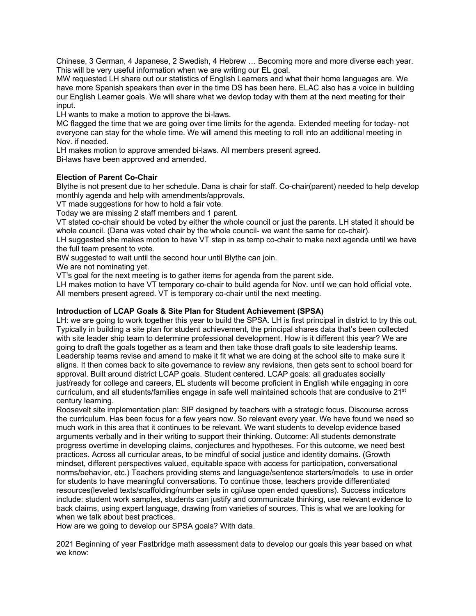Chinese, 3 German, 4 Japanese, 2 Swedish, 4 Hebrew … Becoming more and more diverse each year. This will be very useful information when we are writing our EL goal.

MW requested LH share out our statistics of English Learners and what their home languages are. We have more Spanish speakers than ever in the time DS has been here. ELAC also has a voice in building our English Learner goals. We will share what we devlop today with them at the next meeting for their input.

LH wants to make a motion to approve the bi-laws.

MC flagged the time that we are going over time limits for the agenda. Extended meeting for today- not everyone can stay for the whole time. We will amend this meeting to roll into an additional meeting in Nov. if needed.

LH makes motion to approve amended bi-laws. All members present agreed.

Bi-laws have been approved and amended.

# **Election of Parent Co-Chair**

Blythe is not present due to her schedule. Dana is chair for staff. Co-chair(parent) needed to help develop monthly agenda and help with amendments/approvals.

VT made suggestions for how to hold a fair vote.

Today we are missing 2 staff members and 1 parent.

VT stated co-chair should be voted by either the whole council or just the parents. LH stated it should be whole council. (Dana was voted chair by the whole council- we want the same for co-chair).

LH suggested she makes motion to have VT step in as temp co-chair to make next agenda until we have the full team present to vote.

BW suggested to wait until the second hour until Blythe can join.

We are not nominating yet.

VT's goal for the next meeting is to gather items for agenda from the parent side.

LH makes motion to have VT temporary co-chair to build agenda for Nov. until we can hold official vote. All members present agreed. VT is temporary co-chair until the next meeting.

## **Introduction of LCAP Goals & Site Plan for Student Achievement (SPSA)**

LH: we are going to work together this year to build the SPSA. LH is first principal in district to try this out. Typically in building a site plan for student achievement, the principal shares data that's been collected with site leader ship team to determine professional development. How is it different this year? We are going to draft the goals together as a team and then take those draft goals to site leadership teams. Leadership teams revise and amend to make it fit what we are doing at the school site to make sure it aligns. It then comes back to site governance to review any revisions, then gets sent to school board for approval. Built around district LCAP goals. Student centered. LCAP goals: all graduates socially just/ready for college and careers, EL students will become proficient in English while engaging in core curriculum, and all students/families engage in safe well maintained schools that are condusive to 21st century learning.

Roosevelt site implementation plan: SIP designed by teachers with a strategic focus. Discourse across the curriculum. Has been focus for a few years now. So relevant every year. We have found we need so much work in this area that it continues to be relevant. We want students to develop evidence based arguments verbally and in their writing to support their thinking. Outcome: All students demonstrate progress overtime in developing claims, conjectures and hypotheses. For this outcome, we need best practices. Across all curricular areas, to be mindful of social justice and identity domains. (Growth mindset, different perspectives valued, equitable space with access for participation, conversational norms/behavior, etc.) Teachers providing stems and language/sentence starters/models to use in order for students to have meaningful conversations. To continue those, teachers provide differentiated resources(leveled texts/scaffolding/number sets in cgi/use open ended questions). Success indicators include: student work samples, students can justify and communicate thinking, use relevant evidence to back claims, using expert language, drawing from varieties of sources. This is what we are looking for when we talk about best practices.

How are we going to develop our SPSA goals? With data.

2021 Beginning of year Fastbridge math assessment data to develop our goals this year based on what we know: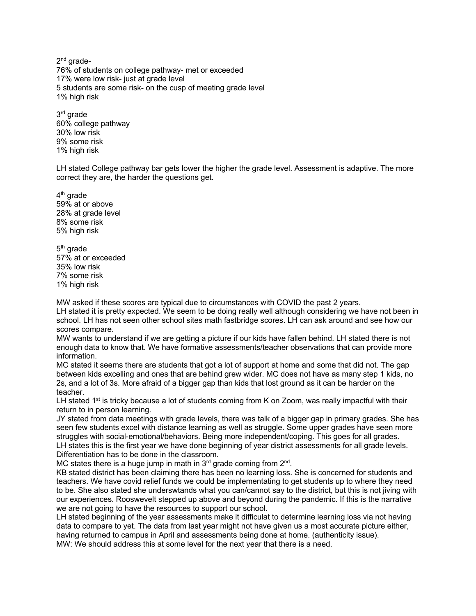2<sup>nd</sup> grade-76% of students on college pathway- met or exceeded 17% were low risk- just at grade level 5 students are some risk- on the cusp of meeting grade level 1% high risk

3rd grade 60% college pathway 30% low risk 9% some risk 1% high risk

LH stated College pathway bar gets lower the higher the grade level. Assessment is adaptive. The more correct they are, the harder the questions get.

 $4<sup>th</sup>$  grade 59% at or above 28% at grade level 8% some risk 5% high risk

5th grade 57% at or exceeded 35% low risk 7% some risk 1% high risk

MW asked if these scores are typical due to circumstances with COVID the past 2 years.

LH stated it is pretty expected. We seem to be doing really well although considering we have not been in school. LH has not seen other school sites math fastbridge scores. LH can ask around and see how our scores compare.

MW wants to understand if we are getting a picture if our kids have fallen behind. LH stated there is not enough data to know that. We have formative assessments/teacher observations that can provide more information.

MC stated it seems there are students that got a lot of support at home and some that did not. The gap between kids excelling and ones that are behind grew wider. MC does not have as many step 1 kids, no 2s, and a lot of 3s. More afraid of a bigger gap than kids that lost ground as it can be harder on the teacher.

LH stated  $1<sup>st</sup>$  is tricky because a lot of students coming from K on Zoom, was really impactful with their return to in person learning.

JY stated from data meetings with grade levels, there was talk of a bigger gap in primary grades. She has seen few students excel with distance learning as well as struggle. Some upper grades have seen more struggles with social-emotional/behaviors. Being more independent/coping. This goes for all grades. LH states this is the first year we have done beginning of year district assessments for all grade levels. Differentiation has to be done in the classroom.

MC states there is a huge jump in math in  $3<sup>rd</sup>$  grade coming from  $2<sup>nd</sup>$ .

KB stated district has been claiming there has been no learning loss. She is concerned for students and teachers. We have covid relief funds we could be implementating to get students up to where they need to be. She also stated she underswtands what you can/cannot say to the district, but this is not jiving with our experiences. Rooswevelt stepped up above and beyond during the pandemic. If this is the narrative we are not going to have the resources to support our school.

LH stated beginning of the year assessments make it difficulat to determine learning loss via not having data to compare to yet. The data from last year might not have given us a most accurate picture either, having returned to campus in April and assessments being done at home. (authenticity issue). MW: We should address this at some level for the next year that there is a need.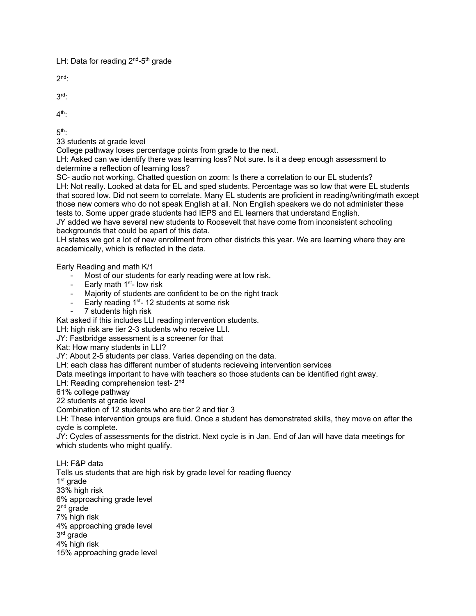LH: Data for reading  $2^{nd}$ -5<sup>th</sup> grade

 $2<sup>nd</sup>$ :

3rd:

 $4<sup>th</sup>$ :

 $5<sup>th</sup>$ 

33 students at grade level

College pathway loses percentage points from grade to the next.

LH: Asked can we identify there was learning loss? Not sure. Is it a deep enough assessment to determine a reflection of learning loss?

SC- audio not working. Chatted question on zoom: Is there a correlation to our EL students? LH: Not really. Looked at data for EL and sped students. Percentage was so low that were EL students that scored low. Did not seem to correlate. Many EL students are proficient in reading/writing/math except those new comers who do not speak English at all. Non English speakers we do not administer these tests to. Some upper grade students had IEPS and EL learners that understand English.

JY added we have several new students to Roosevelt that have come from inconsistent schooling backgrounds that could be apart of this data.

LH states we got a lot of new enrollment from other districts this year. We are learning where they are academically, which is reflected in the data.

Early Reading and math K/1

- Most of our students for early reading were at low risk.
- Early math  $1<sup>st</sup>$  low risk
- Majority of students are confident to be on the right track
- Early reading  $1<sup>st</sup> 12$  students at some risk
- 7 students high risk

Kat asked if this includes LLI reading intervention students.

LH: high risk are tier 2-3 students who receive LLI.

JY: Fastbridge assessment is a screener for that

Kat: How many students in LLI?

JY: About 2-5 students per class. Varies depending on the data.

LH: each class has different number of students recieveing intervention services

Data meetings important to have with teachers so those students can be identified right away.

LH: Reading comprehension test- 2<sup>nd</sup>

61% college pathway

22 students at grade level

Combination of 12 students who are tier 2 and tier 3

LH: These intervention groups are fluid. Once a student has demonstrated skills, they move on after the cycle is complete.

JY: Cycles of assessments for the district. Next cycle is in Jan. End of Jan will have data meetings for which students who might qualify.

LH: F&P data Tells us students that are high risk by grade level for reading fluency 1<sup>st</sup> grade 33% high risk 6% approaching grade level 2<sup>nd</sup> grade 7% high risk 4% approaching grade level 3rd grade 4% high risk 15% approaching grade level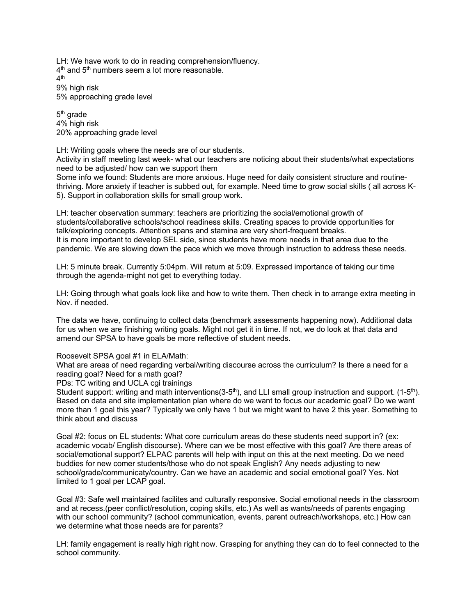LH: We have work to do in reading comprehension/fluency.  $4<sup>th</sup>$  and  $5<sup>th</sup>$  numbers seem a lot more reasonable. 4th 9% high risk 5% approaching grade level

5th grade 4% high risk 20% approaching grade level

LH: Writing goals where the needs are of our students.

Activity in staff meeting last week- what our teachers are noticing about their students/what expectations need to be adjusted/ how can we support them

Some info we found: Students are more anxious. Huge need for daily consistent structure and routinethriving. More anxiety if teacher is subbed out, for example. Need time to grow social skills ( all across K-5). Support in collaboration skills for small group work.

LH: teacher observation summary: teachers are prioritizing the social/emotional growth of students/collaborative schools/school readiness skills. Creating spaces to provide opportunities for talk/exploring concepts. Attention spans and stamina are very short-frequent breaks. It is more important to develop SEL side, since students have more needs in that area due to the pandemic. We are slowing down the pace which we move through instruction to address these needs.

LH: 5 minute break. Currently 5:04pm. Will return at 5:09. Expressed importance of taking our time through the agenda-might not get to everything today.

LH: Going through what goals look like and how to write them. Then check in to arrange extra meeting in Nov. if needed.

The data we have, continuing to collect data (benchmark assessments happening now). Additional data for us when we are finishing writing goals. Might not get it in time. If not, we do look at that data and amend our SPSA to have goals be more reflective of student needs.

#### Roosevelt SPSA goal #1 in ELA/Math:

What are areas of need regarding verbal/writing discourse across the curriculum? Is there a need for a reading goal? Need for a math goal?

PDs: TC writing and UCLA cgi trainings

Student support: writing and math interventions( $3-5<sup>th</sup>$ ), and LLI small group instruction and support. ( $1-5<sup>th</sup>$ ). Based on data and site implementation plan where do we want to focus our academic goal? Do we want more than 1 goal this year? Typically we only have 1 but we might want to have 2 this year. Something to think about and discuss

Goal #2: focus on EL students: What core curriculum areas do these students need support in? (ex: academic vocab/ English discourse). Where can we be most effective with this goal? Are there areas of social/emotional support? ELPAC parents will help with input on this at the next meeting. Do we need buddies for new comer students/those who do not speak English? Any needs adjusting to new school/grade/communicaty/country. Can we have an academic and social emotional goal? Yes. Not limited to 1 goal per LCAP goal.

Goal #3: Safe well maintained facilites and culturally responsive. Social emotional needs in the classroom and at recess.(peer conflict/resolution, coping skills, etc.) As well as wants/needs of parents engaging with our school community? (school communication, events, parent outreach/workshops, etc.) How can we determine what those needs are for parents?

LH: family engagement is really high right now. Grasping for anything they can do to feel connected to the school community.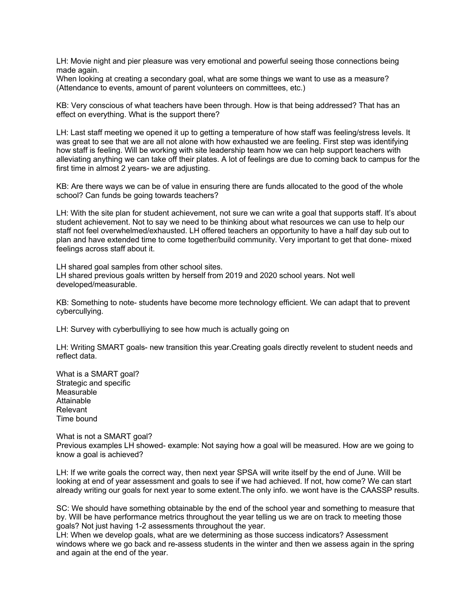LH: Movie night and pier pleasure was very emotional and powerful seeing those connections being made again.

When looking at creating a secondary goal, what are some things we want to use as a measure? (Attendance to events, amount of parent volunteers on committees, etc.)

KB: Very conscious of what teachers have been through. How is that being addressed? That has an effect on everything. What is the support there?

LH: Last staff meeting we opened it up to getting a temperature of how staff was feeling/stress levels. It was great to see that we are all not alone with how exhausted we are feeling. First step was identifying how staff is feeling. Will be working with site leadership team how we can help support teachers with alleviating anything we can take off their plates. A lot of feelings are due to coming back to campus for the first time in almost 2 years- we are adjusting.

KB: Are there ways we can be of value in ensuring there are funds allocated to the good of the whole school? Can funds be going towards teachers?

LH: With the site plan for student achievement, not sure we can write a goal that supports staff. It's about student achievement. Not to say we need to be thinking about what resources we can use to help our staff not feel overwhelmed/exhausted. LH offered teachers an opportunity to have a half day sub out to plan and have extended time to come together/build community. Very important to get that done- mixed feelings across staff about it.

LH shared goal samples from other school sites. LH shared previous goals written by herself from 2019 and 2020 school years. Not well developed/measurable.

KB: Something to note- students have become more technology efficient. We can adapt that to prevent cybercullying.

LH: Survey with cyberbulliying to see how much is actually going on

LH: Writing SMART goals- new transition this year.Creating goals directly revelent to student needs and reflect data.

What is a SMART goal? Strategic and specific Measurable **Attainable** Relevant Time bound

What is not a SMART goal? Previous examples LH showed- example: Not saying how a goal will be measured. How are we going to know a goal is achieved?

LH: If we write goals the correct way, then next year SPSA will write itself by the end of June. Will be looking at end of year assessment and goals to see if we had achieved. If not, how come? We can start already writing our goals for next year to some extent.The only info. we wont have is the CAASSP results.

SC: We should have something obtainable by the end of the school year and something to measure that by. Will be have performance metrics throughout the year telling us we are on track to meeting those goals? Not just having 1-2 assessments throughout the year.

LH: When we develop goals, what are we determining as those success indicators? Assessment windows where we go back and re-assess students in the winter and then we assess again in the spring and again at the end of the year.